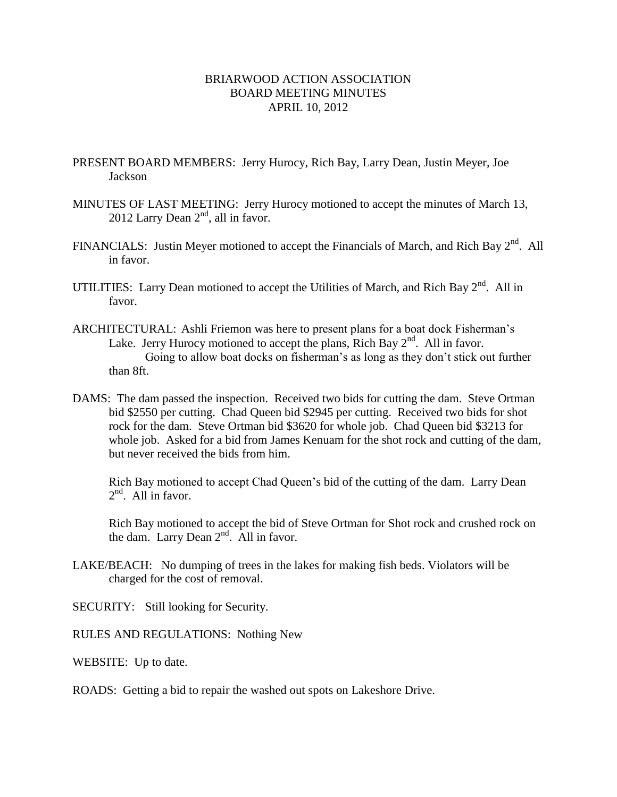## BRIARWOOD ACTION ASSOCIATION BOARD MEETING MINUTES APRIL 10, 2012

- PRESENT BOARD MEMBERS: Jerry Hurocy, Rich Bay, Larry Dean, Justin Meyer, Joe Jackson
- MINUTES OF LAST MEETING: Jerry Hurocy motioned to accept the minutes of March 13, 2012 Larry Dean  $2<sup>nd</sup>$ , all in favor.
- FINANCIALS: Justin Meyer motioned to accept the Financials of March, and Rich Bay  $2<sup>nd</sup>$ . All in favor.
- UTILITIES: Larry Dean motioned to accept the Utilities of March, and Rich Bay  $2^{nd}$ . All in favor.
- ARCHITECTURAL: Ashli Friemon was here to present plans for a boat dock Fisherman's Lake. Jerry Hurocy motioned to accept the plans, Rich Bay  $2<sup>nd</sup>$ . All in favor. Going to allow boat docks on fisherman's as long as they don't stick out further than 8ft.
- DAMS: The dam passed the inspection. Received two bids for cutting the dam. Steve Ortman bid \$2550 per cutting. Chad Queen bid \$2945 per cutting. Received two bids for shot rock for the dam. Steve Ortman bid \$3620 for whole job. Chad Queen bid \$3213 for whole job. Asked for a bid from James Kenuam for the shot rock and cutting of the dam, but never received the bids from him.

Rich Bay motioned to accept Chad Queen's bid of the cutting of the dam. Larry Dean  $2<sup>nd</sup>$ . All in favor.

Rich Bay motioned to accept the bid of Steve Ortman for Shot rock and crushed rock on the dam. Larry Dean  $2<sup>nd</sup>$ . All in favor.

- LAKE/BEACH: No dumping of trees in the lakes for making fish beds. Violators will be charged for the cost of removal.
- SECURITY: Still looking for Security.
- RULES AND REGULATIONS: Nothing New
- WEBSITE: Up to date.

ROADS: Getting a bid to repair the washed out spots on Lakeshore Drive.